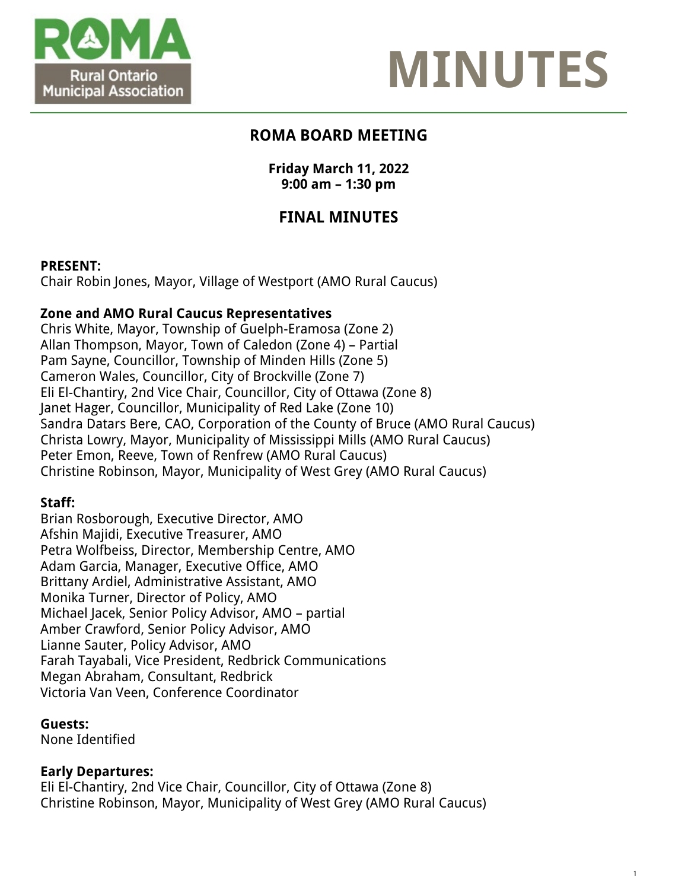



1

## **ROMA BOARD MEETING**

### **Friday March 11, 2022 9:00 am – 1:30 pm**

# **FINAL MINUTES**

### **PRESENT:**

Chair Robin Jones, Mayor, Village of Westport (AMO Rural Caucus)

### **Zone and AMO Rural Caucus Representatives**

Chris White, Mayor, Township of Guelph-Eramosa (Zone 2) Allan Thompson, Mayor, Town of Caledon (Zone 4) – Partial Pam Sayne, Councillor, Township of Minden Hills (Zone 5) Cameron Wales, Councillor, City of Brockville (Zone 7) Eli El-Chantiry, 2nd Vice Chair, Councillor, City of Ottawa (Zone 8) Janet Hager, Councillor, Municipality of Red Lake (Zone 10) Sandra Datars Bere, CAO, Corporation of the County of Bruce (AMO Rural Caucus) Christa Lowry, Mayor, Municipality of Mississippi Mills (AMO Rural Caucus) Peter Emon, Reeve, Town of Renfrew (AMO Rural Caucus) Christine Robinson, Mayor, Municipality of West Grey (AMO Rural Caucus)

### **Staff:**

Brian Rosborough, Executive Director, AMO Afshin Majidi, Executive Treasurer, AMO Petra Wolfbeiss, Director, Membership Centre, AMO Adam Garcia, Manager, Executive Office, AMO Brittany Ardiel, Administrative Assistant, AMO Monika Turner, Director of Policy, AMO Michael Jacek, Senior Policy Advisor, AMO – partial Amber Crawford, Senior Policy Advisor, AMO Lianne Sauter, Policy Advisor, AMO Farah Tayabali, Vice President, Redbrick Communications Megan Abraham, Consultant, Redbrick Victoria Van Veen, Conference Coordinator

### **Guests:**

None Identified

### **Early Departures:**

Eli El-Chantiry, 2nd Vice Chair, Councillor, City of Ottawa (Zone 8) Christine Robinson, Mayor, Municipality of West Grey (AMO Rural Caucus)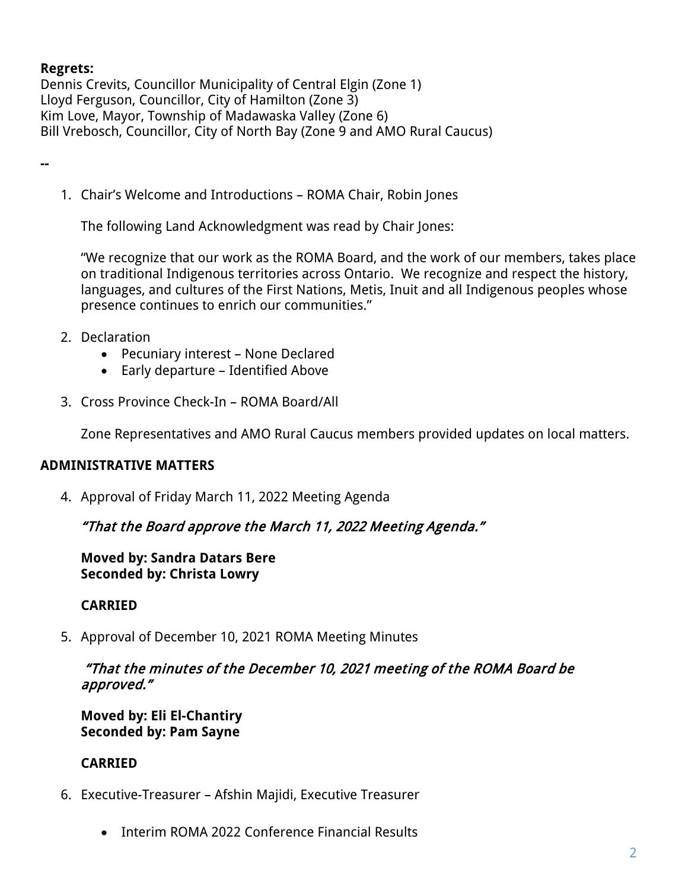### **Regrets:**

Dennis Crevits, Councillor Municipality of Central Elgin (Zone 1) Lloyd Ferguson, Councillor, City of Hamilton (Zone 3) Kim Love, Mayor, Township of Madawaska Valley (Zone 6) Bill Vrebosch, Councillor, City of North Bay (Zone 9 and AMO Rural Caucus)

**--**

1. Chair's Welcome and Introductions – ROMA Chair, Robin Jones

The following Land Acknowledgment was read by Chair Jones:

"We recognize that our work as the ROMA Board, and the work of our members, takes place on traditional Indigenous territories across Ontario. We recognize and respect the history, languages, and cultures of the First Nations, Metis, Inuit and all Indigenous peoples whose presence continues to enrich our communities."

- 2. Declaration
	- Pecuniary interest None Declared
	- Early departure Identified Above
- 3. Cross Province Check-In ROMA Board/All

Zone Representatives and AMO Rural Caucus members provided updates on local matters.

### **ADMINISTRATIVE MATTERS**

4. Approval of Friday March 11, 2022 Meeting Agenda

### "That the Board approve the March 11, 2022 Meeting Agenda."

**Moved by: Sandra Datars Bere Seconded by: Christa Lowry**

### **CARRIED**

5. Approval of December 10, 2021 ROMA Meeting Minutes

### "That the minutes of the December 10, 2021 meeting of the ROMA Board be approved."

**Moved by: Eli El-Chantiry Seconded by: Pam Sayne**

### **CARRIED**

- 6. Executive-Treasurer Afshin Majidi, Executive Treasurer
	- Interim ROMA 2022 Conference Financial Results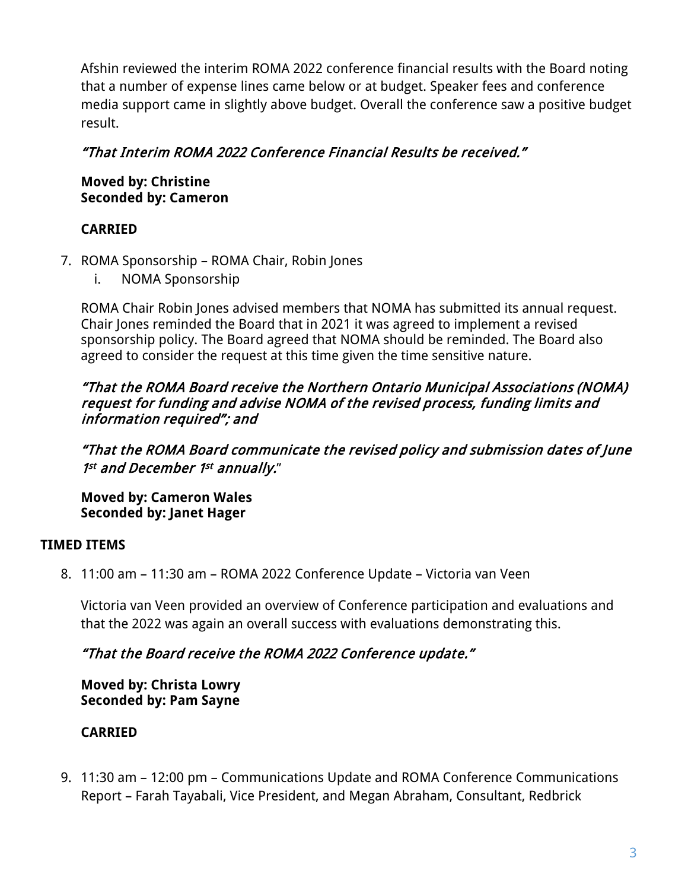Afshin reviewed the interim ROMA 2022 conference financial results with the Board noting that a number of expense lines came below or at budget. Speaker fees and conference media support came in slightly above budget. Overall the conference saw a positive budget result.

### "That Interim ROMA 2022 Conference Financial Results be received."

**Moved by: Christine Seconded by: Cameron**

### **CARRIED**

- 7. ROMA Sponsorship ROMA Chair, Robin Jones
	- i. NOMA Sponsorship

ROMA Chair Robin Jones advised members that NOMA has submitted its annual request. Chair Jones reminded the Board that in 2021 it was agreed to implement a revised sponsorship policy. The Board agreed that NOMA should be reminded. The Board also agreed to consider the request at this time given the time sensitive nature.

### "That the ROMA Board receive the Northern Ontario Municipal Associations (NOMA) request for funding and advise NOMA of the revised process, funding limits and information required"; and

"That the ROMA Board communicate the revised policy and submission dates of June 1st and December 1st annually."

**Moved by: Cameron Wales Seconded by: Janet Hager**

### **TIMED ITEMS**

8. 11:00 am – 11:30 am – ROMA 2022 Conference Update – Victoria van Veen

Victoria van Veen provided an overview of Conference participation and evaluations and that the 2022 was again an overall success with evaluations demonstrating this.

## "That the Board receive the ROMA 2022 Conference update."

**Moved by: Christa Lowry Seconded by: Pam Sayne**

## **CARRIED**

9. 11:30 am – 12:00 pm – Communications Update and ROMA Conference Communications Report – Farah Tayabali, Vice President, and Megan Abraham, Consultant, Redbrick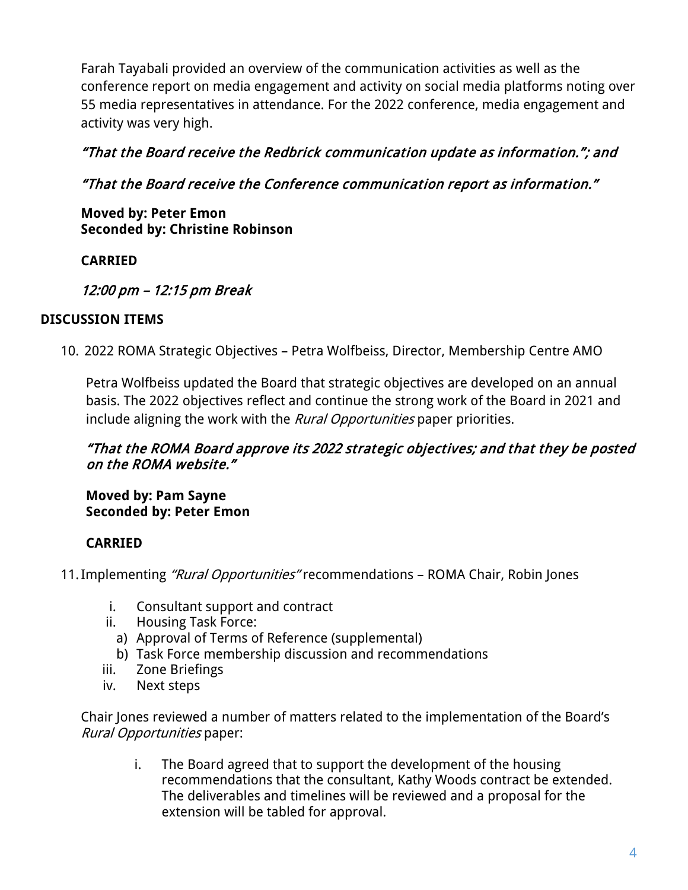Farah Tayabali provided an overview of the communication activities as well as the conference report on media engagement and activity on social media platforms noting over 55 media representatives in attendance. For the 2022 conference, media engagement and activity was very high.

## "That the Board receive the Redbrick communication update as information."; and

## "That the Board receive the Conference communication report as information."

**Moved by: Peter Emon Seconded by: Christine Robinson**

## **CARRIED**

## 12:00 pm – 12:15 pm Break

### **DISCUSSION ITEMS**

10. 2022 ROMA Strategic Objectives – Petra Wolfbeiss, Director, Membership Centre AMO

Petra Wolfbeiss updated the Board that strategic objectives are developed on an annual basis. The 2022 objectives reflect and continue the strong work of the Board in 2021 and include aligning the work with the *Rural Opportunities* paper priorities.

### "That the ROMA Board approve its 2022 strategic objectives; and that they be posted on the ROMA website."

**Moved by: Pam Sayne Seconded by: Peter Emon**

## **CARRIED**

- 11. Implementing "Rural Opportunities" recommendations ROMA Chair, Robin Jones
	- i. Consultant support and contract
	- ii. Housing Task Force:
		- a) Approval of Terms of Reference (supplemental)
		- b) Task Force membership discussion and recommendations
	- iii. Zone Briefings
	- iv. Next steps

Chair Jones reviewed a number of matters related to the implementation of the Board's Rural Opportunities paper:

i. The Board agreed that to support the development of the housing recommendations that the consultant, Kathy Woods contract be extended. The deliverables and timelines will be reviewed and a proposal for the extension will be tabled for approval.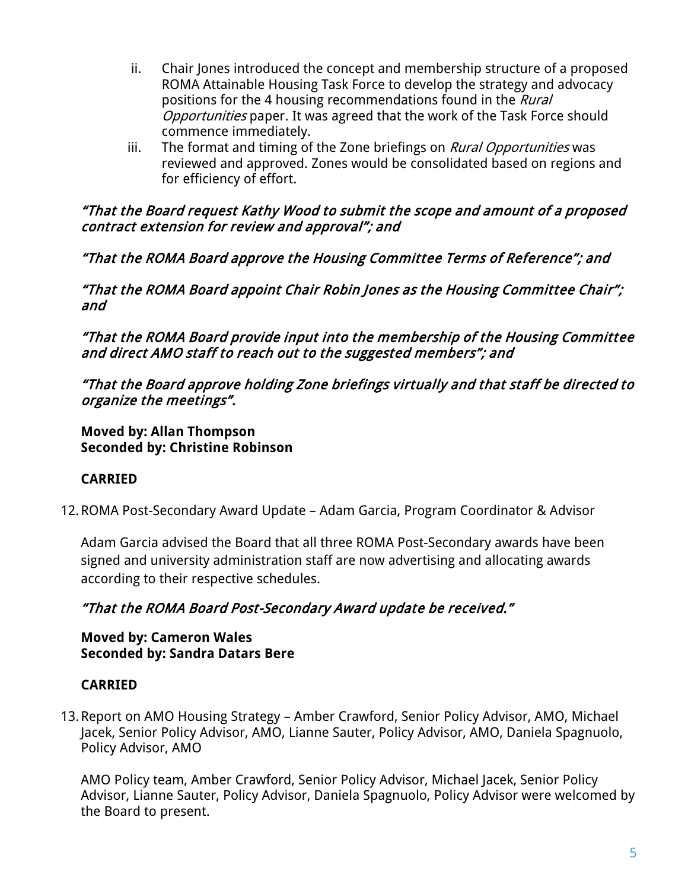- ii. Chair Jones introduced the concept and membership structure of a proposed ROMA Attainable Housing Task Force to develop the strategy and advocacy positions for the 4 housing recommendations found in the *Rural* Opportunities paper. It was agreed that the work of the Task Force should commence immediately.
- iii. The format and timing of the Zone briefings on *Rural Opportunities* was reviewed and approved. Zones would be consolidated based on regions and for efficiency of effort.

### "That the Board request Kathy Wood to submit the scope and amount of a proposed contract extension for review and approval"; and

"That the ROMA Board approve the Housing Committee Terms of Reference"; and

"That the ROMA Board appoint Chair Robin Jones as the Housing Committee Chair"; and

"That the ROMA Board provide input into the membership of the Housing Committee and direct AMO staff to reach out to the suggested members"; and

"That the Board approve holding Zone briefings virtually and that staff be directed to organize the meetings".

**Moved by: Allan Thompson Seconded by: Christine Robinson**

## **CARRIED**

12.ROMA Post-Secondary Award Update – Adam Garcia, Program Coordinator & Advisor

Adam Garcia advised the Board that all three ROMA Post-Secondary awards have been signed and university administration staff are now advertising and allocating awards according to their respective schedules.

### "That the ROMA Board Post-Secondary Award update be received."

**Moved by: Cameron Wales Seconded by: Sandra Datars Bere**

### **CARRIED**

13.Report on AMO Housing Strategy – Amber Crawford, Senior Policy Advisor, AMO, Michael Jacek, Senior Policy Advisor, AMO, Lianne Sauter, Policy Advisor, AMO, Daniela Spagnuolo, Policy Advisor, AMO

AMO Policy team, Amber Crawford, Senior Policy Advisor, Michael Jacek, Senior Policy Advisor, Lianne Sauter, Policy Advisor, Daniela Spagnuolo, Policy Advisor were welcomed by the Board to present.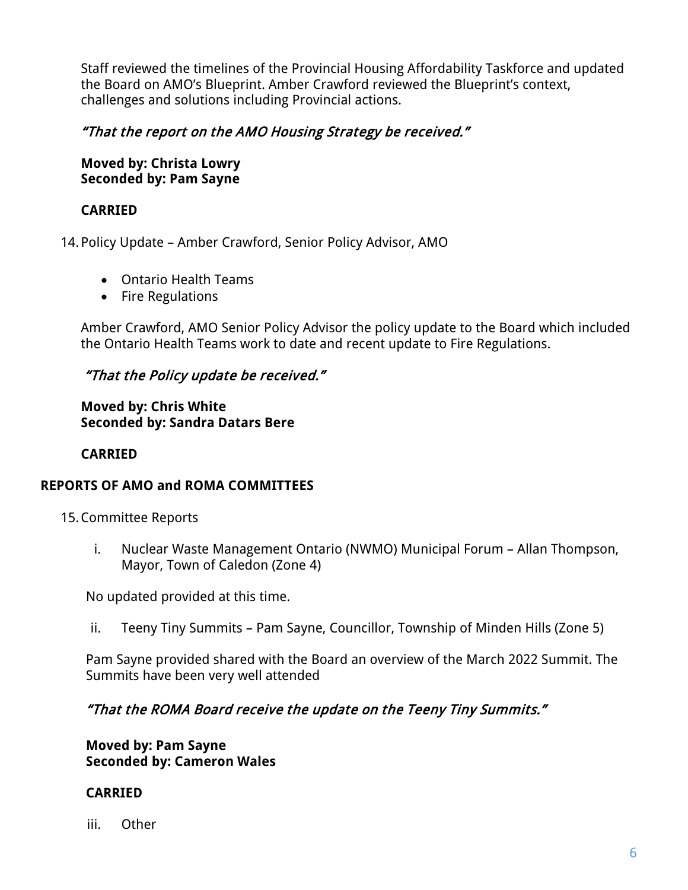Staff reviewed the timelines of the Provincial Housing Affordability Taskforce and updated the Board on AMO's Blueprint. Amber Crawford reviewed the Blueprint's context, challenges and solutions including Provincial actions.

### "That the report on the AMO Housing Strategy be received."

**Moved by: Christa Lowry Seconded by: Pam Sayne**

### **CARRIED**

14.Policy Update – Amber Crawford, Senior Policy Advisor, AMO

- Ontario Health Teams
- Fire Regulations

Amber Crawford, AMO Senior Policy Advisor the policy update to the Board which included the Ontario Health Teams work to date and recent update to Fire Regulations.

### "That the Policy update be received."

**Moved by: Chris White Seconded by: Sandra Datars Bere** 

### **CARRIED**

### **REPORTS OF AMO and ROMA COMMITTEES**

15.Committee Reports

i. Nuclear Waste Management Ontario (NWMO) Municipal Forum – Allan Thompson, Mayor, Town of Caledon (Zone 4)

No updated provided at this time.

ii. Teeny Tiny Summits – Pam Sayne, Councillor, Township of Minden Hills (Zone 5)

Pam Sayne provided shared with the Board an overview of the March 2022 Summit. The Summits have been very well attended

### "That the ROMA Board receive the update on the Teeny Tiny Summits."

**Moved by: Pam Sayne Seconded by: Cameron Wales**

#### **CARRIED**

iii. Other